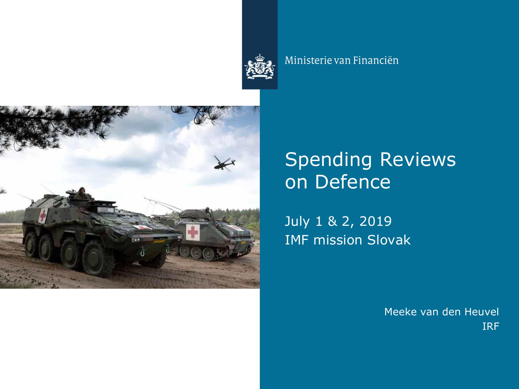

#### Ministerie van Financiën



# Spending Reviews on Defence

July 1 & 2, 2019 IMF mission Slovak

> Meeke van den Heuvel IRF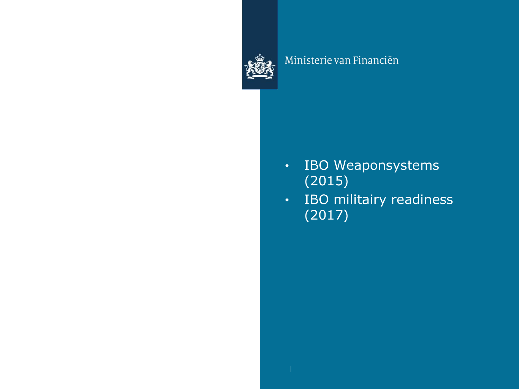

#### Ministerie van Financiën

- IBO Weaponsystems (2015)
- IBO militairy readiness (2017)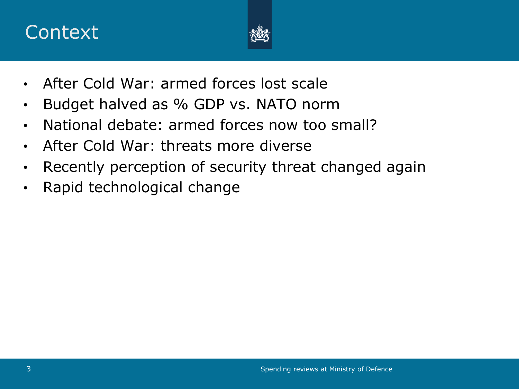## **Context**



- After Cold War: armed forces lost scale
- Budget halved as % GDP vs. NATO norm
- National debate: armed forces now too small?
- After Cold War: threats more diverse
- Recently perception of security threat changed again
- Rapid technological change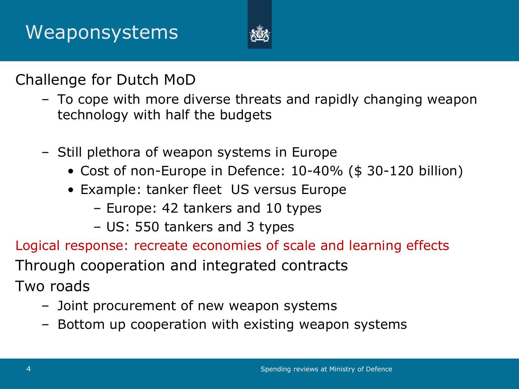

Challenge for Dutch MoD

- To cope with more diverse threats and rapidly changing weapon technology with half the budgets
- Still plethora of weapon systems in Europe
	- Cost of non-Europe in Defence: 10-40% (\$ 30-120 billion)
	- Example: tanker fleet US versus Europe
		- Europe: 42 tankers and 10 types
		- US: 550 tankers and 3 types
- Logical response: recreate economies of scale and learning effects Through cooperation and integrated contracts Two roads
	- Joint procurement of new weapon systems
	- Bottom up cooperation with existing weapon systems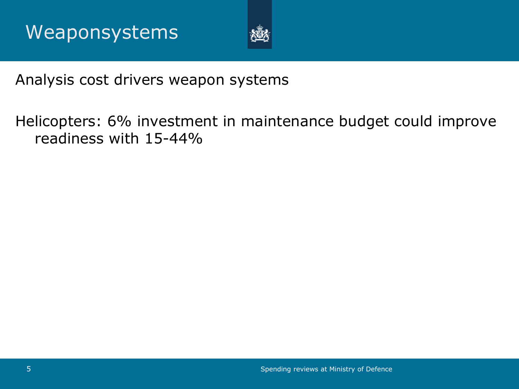

## Analysis cost drivers weapon systems

Helicopters: 6% investment in maintenance budget could improve readiness with 15-44%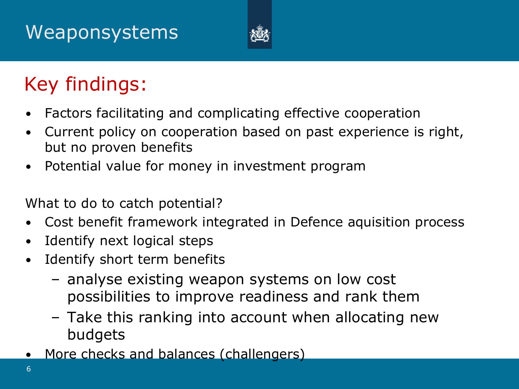# Weaponsystems



# Key findings:

- Factors facilitating and complicating effective cooperation
- Current policy on cooperation based on past experience is right, but no proven benefits
- Potential value for money in investment program

What to do to catch potential?

- Cost benefit framework integrated in Defence aquisition process
- Identify next logical steps
- Identify short term benefits
	- analyse existing weapon systems on low cost possibilities to improve readiness and rank them
	- Take this ranking into account when allocating new budgets
- More checks and balances (challengers)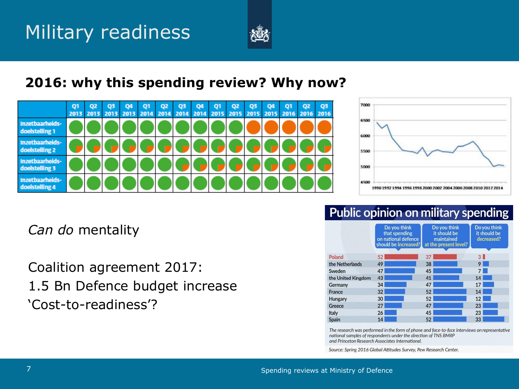

#### **2016: why this spending review? Why now?**





#### Public opinion on military spending

*Can do* mentality

Coalition agreement 2017: 1.5 Bn Defence budget increase 'Cost-to-readiness'?

|                    | Do you think<br>that spending<br>on national defence<br>should be increased? | Do you think<br>it should be<br>maintained<br>at the present level? | Do you think<br>it should be<br>decreased? |
|--------------------|------------------------------------------------------------------------------|---------------------------------------------------------------------|--------------------------------------------|
| Poland             | 52                                                                           | 37                                                                  | 3 <sup>1</sup>                             |
| the Netherlands    | 49                                                                           | 38                                                                  | 9                                          |
| Sweden             | 47                                                                           | 45                                                                  | 7 <sup>1</sup>                             |
| the United Kingdom | 43                                                                           | 41                                                                  | 14                                         |
| Germany            | 34                                                                           | 47                                                                  | 17                                         |
| France             | 32                                                                           | 52                                                                  | 14                                         |
| Hungary            | 30 <sup>°</sup>                                                              | 52                                                                  | 12                                         |
| Greece             | 27                                                                           | 47                                                                  | 23                                         |
| Italy              | 26                                                                           | 45                                                                  | 23                                         |
| <b>Spain</b>       | 14                                                                           | 52                                                                  | 33                                         |

The research was performed in the form of phone and face-to-face interviews on representative national samples of respondents under the direction of TNS BMRP and Princeton Research Associates International.

Source: Spring 2016 Global Attitudes Survey, Pew Research Center.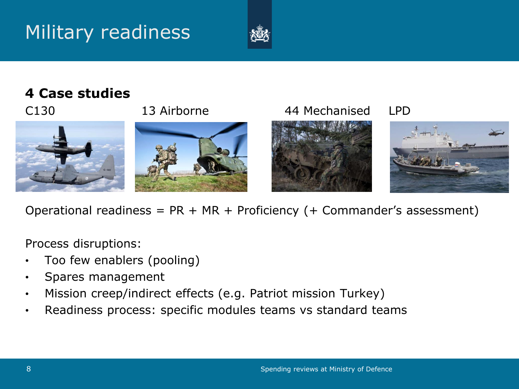# Military readiness



## **4 Case studies**



Operational readiness =  $PR + MR + Proficiency (+ Commander's assessment)$ 

Process disruptions:

- Too few enablers (pooling)
- Spares management
- Mission creep/indirect effects (e.g. Patriot mission Turkey)
- Readiness process: specific modules teams vs standard teams